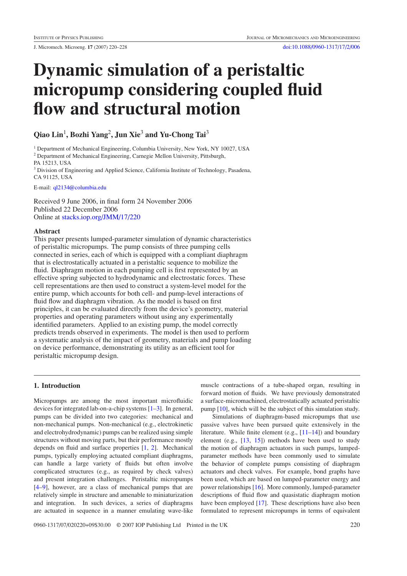# **Dynamic simulation of a peristaltic micropump considering coupled fluid flow and structural motion**

# **Qiao Lin**1**, Bozhi Yang**2**, Jun Xie**<sup>3</sup> **and Yu-Chong Tai**<sup>3</sup>

<sup>1</sup> Department of Mechanical Engineering, Columbia University, New York, NY 10027, USA <sup>2</sup> Department of Mechanical Engineering, Carnegie Mellon University, Pittsburgh, PA 15213, USA <sup>3</sup> Division of Engineering and Applied Science, California Institute of Technology, Pasadena,

CA 91125, USA

E-mail: [ql2134@columbia.edu](mailto:ql2134@columbia.edu)

Received 9 June 2006, in final form 24 November 2006 Published 22 December 2006 Online at [stacks.iop.org/JMM/17/220](http://stacks.iop.org/JMM/17/220)

# **Abstract**

This paper presents lumped-parameter simulation of dynamic characteristics of peristaltic micropumps. The pump consists of three pumping cells connected in series, each of which is equipped with a compliant diaphragm that is electrostatically actuated in a peristaltic sequence to mobilize the fluid. Diaphragm motion in each pumping cell is first represented by an effective spring subjected to hydrodynamic and electrostatic forces. These cell representations are then used to construct a system-level model for the entire pump, which accounts for both cell- and pump-level interactions of fluid flow and diaphragm vibration. As the model is based on first principles, it can be evaluated directly from the device's geometry, material properties and operating parameters without using any experimentally identified parameters. Applied to an existing pump, the model correctly predicts trends observed in experiments. The model is then used to perform a systematic analysis of the impact of geometry, materials and pump loading on device performance, demonstrating its utility as an efficient tool for peristaltic micropump design.

# **1. Introduction**

Micropumps are among the most important microfluidic devices for integrated lab-on-a-chip systems [\[1–3\]](#page-7-0). In general, pumps can be divided into two categories: mechanical and non-mechanical pumps. Non-mechanical (e.g., electrokinetic and electrohydrodynamic) pumps can be realized using simple structures without moving parts, but their performance mostly depends on fluid and surface properties [\[1,](#page-7-0) [2\]](#page-7-0). Mechanical pumps, typically employing actuated compliant diaphragms, can handle a large variety of fluids but often involve complicated structures (e.g., as required by check valves) and present integration challenges. Peristaltic micropumps [\[4–9\]](#page-7-0), however, are a class of mechanical pumps that are relatively simple in structure and amenable to miniaturization and integration. In such devices, a series of diaphragms are actuated in sequence in a manner emulating wave-like

muscle contractions of a tube-shaped organ, resulting in forward motion of fluids. We have previously demonstrated a surface-micromachined, electrostatically actuated peristaltic pump [\[10](#page-7-0)], which will be the subject of this simulation study.

Simulations of diaphragm-based micropumps that use passive valves have been pursued quite extensively in the literature. While finite element (e.g., [\[11–14\]](#page-7-0)) and boundary element (e.g., [\[13](#page-7-0), [15](#page-7-0)]) methods have been used to study the motion of diaphragm actuators in such pumps, lumpedparameter methods have been commonly used to simulate the behavior of complete pumps consisting of diaphragm actuators and check valves. For example, bond graphs have been used, which are based on lumped-parameter energy and power relationships [\[16\]](#page-7-0). More commonly, lumped-parameter descriptions of fluid flow and quasistatic diaphragm motion have been employed [\[17\]](#page-7-0). These descriptions have also been formulated to represent micropumps in terms of equivalent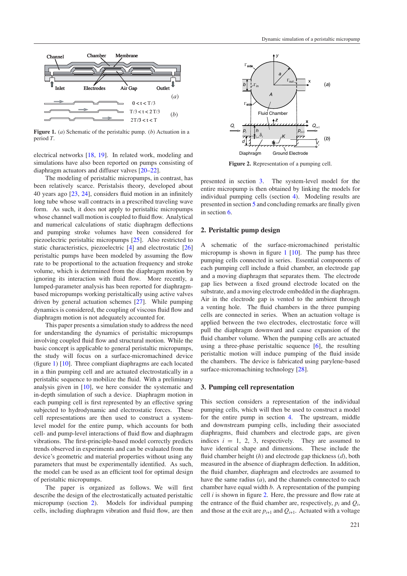<span id="page-1-0"></span>

**Figure 1.** (*a*) Schematic of the peristaltic pump. (*b*) Actuation in a period *T*.

electrical networks [\[18,](#page-7-0) [19\]](#page-7-0). In related work, modeling and simulations have also been reported on pumps consisting of diaphragm actuators and diffuser valves [\[20](#page-7-0)[–22](#page-8-0)].

The modeling of peristaltic micropumps, in contrast, has been relatively scarce. Peristalsis theory, developed about 40 years ago [\[23,](#page-8-0) [24\]](#page-8-0), considers fluid motion in an infinitely long tube whose wall contracts in a prescribed traveling wave form. As such, it does not apply to peristaltic micropumps whose channel wall motion is coupled to fluid flow. Analytical and numerical calculations of static diaphragm deflections and pumping stroke volumes have been considered for piezoelectric peristaltic micropumps [\[25](#page-8-0)]. Also restricted to static characteristics, piezoelectric [\[4](#page-7-0)] and electrostatic [\[26\]](#page-8-0) peristaltic pumps have been modeled by assuming the flow rate to be proportional to the actuation frequency and stroke volume, which is determined from the diaphragm motion by ignoring its interaction with fluid flow. More recently, a lumped-parameter analysis has been reported for diaphragmbased micropumps working peristaltically using active valves driven by general actuation schemes [\[27\]](#page-8-0). While pumping dynamics is considered, the coupling of viscous fluid flow and diaphragm motion is not adequately accounted for.

This paper presents a simulation study to address the need for understanding the dynamics of peristaltic micropumps involving coupled fluid flow and structural motion. While the basic concept is applicable to general peristaltic micropumps, the study will focus on a surface-micromachined device (figure 1) [\[10](#page-7-0)]. Three compliant diaphragms are each located in a thin pumping cell and are actuated electrostatically in a peristaltic sequence to mobilize the fluid. With a preliminary analysis given in [\[10\]](#page-7-0), we here consider the systematic and in-depth simulation of such a device. Diaphragm motion in each pumping cell is first represented by an effective spring subjected to hydrodynamic and electrostatic forces. These cell representations are then used to construct a systemlevel model for the entire pump, which accounts for both cell- and pump-level interactions of fluid flow and diaphragm vibrations. The first-principle-based model correctly predicts trends observed in experiments and can be evaluated from the device's geometric and material properties without using any parameters that must be experimentally identified. As such, the model can be used as an efficient tool for optimal design of peristaltic micropumps.

The paper is organized as follows. We will first describe the design of the electrostatically actuated peristaltic micropump (section 2). Models for individual pumping cells, including diaphragm vibration and fluid flow, are then



**Figure 2.** Representation of a pumping cell.

presented in section 3. The system-level model for the entire micropump is then obtained by linking the models for individual pumping cells (section [4\)](#page-3-0). Modeling results are presented in section [5](#page-3-0) and concluding remarks are finally given in section [6.](#page-6-0)

# **2. Peristaltic pump design**

A schematic of the surface-micromachined peristaltic micropump is shown in figure 1 [\[10\]](#page-7-0). The pump has three pumping cells connected in series. Essential components of each pumping cell include a fluid chamber, an electrode gap and a moving diaphragm that separates them. The electrode gap lies between a fixed ground electrode located on the substrate, and a moving electrode embedded in the diaphragm. Air in the electrode gap is vented to the ambient through a venting hole. The fluid chambers in the three pumping cells are connected in series. When an actuation voltage is applied between the two electrodes, electrostatic force will pull the diaphragm downward and cause expansion of the fluid chamber volume. When the pumping cells are actuated using a three-phase peristaltic sequence [\[6\]](#page-7-0), the resulting peristaltic motion will induce pumping of the fluid inside the chambers. The device is fabricated using parylene-based surface-micromachining technology [\[28](#page-8-0)].

# **3. Pumping cell representation**

This section considers a representation of the individual pumping cells, which will then be used to construct a model for the entire pump in section [4.](#page-3-0) The upstream, middle and downstream pumping cells, including their associated diaphragms, fluid chambers and electrode gaps, are given indices  $i = 1, 2, 3$ , respectively. They are assumed to have identical shape and dimensions. These include the fluid chamber height (*h*) and electrode gap thickness (*d*), both measured in the absence of diaphragm deflection. In addition, the fluid chamber, diaphragm and electrodes are assumed to have the same radius (*a*), and the channels connected to each chamber have equal width *b*. A representation of the pumping cell *i* is shown in figure 2. Here, the pressure and flow rate at the entrance of the fluid chamber are, respectively,  $p_i$  and  $Q_i$ , and those at the exit are  $p_{i+1}$  and  $Q_{i+1}$ . Actuated with a voltage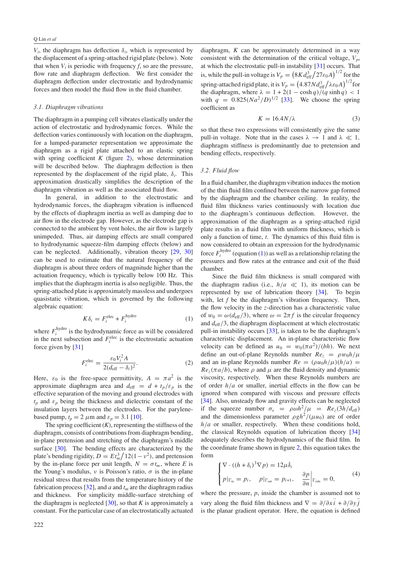<span id="page-2-0"></span> $V_i$ , the diaphragm has deflection  $\delta_i$ , which is represented by the displacement of a spring-attached rigid plate (below). Note that when  $V_i$  is periodic with frequency  $f$ , so are the pressure, flow rate and diaphragm deflection. We first consider the diaphragm deflection under electrostatic and hydrodynamic forces and then model the fluid flow in the fluid chamber.

#### *3.1. Diaphragm vibrations*

The diaphragm in a pumping cell vibrates elastically under the action of electrostatic and hydrodynamic forces. While the deflection varies continuously with location on the diaphragm, for a lumped-parameter representation we approximate the diaphragm as a rigid plate attached to an elastic spring with spring coefficient *K* (figure [2\)](#page-1-0), whose determination will be described below. The diaphragm deflection is then represented by the displacement of the rigid plate,  $\delta_i$ . This approximation drastically simplifies the description of the diaphragm vibration as well as the associated fluid flow.

In general, in addition to the electrostatic and hydrodynamic forces, the diaphragm vibration is influenced by the effects of diaphragm inertia as well as damping due to air flow in the electrode gap. However, as the electrode gap is connected to the ambient by vent holes, the air flow is largely unimpeded. Thus, air damping effects are small compared to hydrodynamic squeeze-film damping effects (below) and can be neglected. Additionally, vibration theory [\[29](#page-8-0), [30\]](#page-8-0) can be used to estimate that the natural frequency of the diaphragm is about three orders of magnitude higher than the actuation frequency, which is typically below 100 Hz. This implies that the diaphragm inertia is also negligible. Thus, the spring-attached plate is approximately massless and undergoes quasistatic vibration, which is governed by the following algebraic equation:

$$
K\delta_i = F_i^{\text{elec}} + F_i^{\text{hydro}} \tag{1}
$$

where  $F_i^{\text{hydro}}$  is the hydrodynamic force as will be considered in the next subsection and  $F_i^{\text{elec}}$  is the electrostatic actuation force given by [\[31\]](#page-8-0)

$$
F_i^{\text{elec}} = \frac{\varepsilon_0 V_i^2 A}{2(d_{\text{eff}} - \delta_i)^2}.
$$
 (2)

Here,  $\varepsilon_0$  is the free-space permittivity,  $A = \pi a^2$  is the approximate diaphragm area and  $d_{\text{eff}} = d + t_p/\varepsilon_p$  is the effective separation of the moving and ground electrodes with  $t_p$  and  $\varepsilon_p$  being the thickness and dielectric constant of the insulation layers between the electrodes. For the parylenebased pump,  $t_p = 2 \mu m$  and  $\varepsilon_p = 3.1$  [\[10\]](#page-7-0).

The spring coefficient  $(K)$ , representing the stiffness of the diaphragm, consists of contributions from diaphragm bending, in-plane pretension and stretching of the diaphragm's middle surface [\[30\]](#page-8-0). The bending effects are characterized by the plate's bending rigidity,  $D = Et_m^3/12(1 - v^2)$ , and pretension by the in-plane force per unit length,  $N = \sigma t_m$ , where *E* is the Young's modulus,  $\nu$  is Poisson's ratio,  $\sigma$  is the in-plane residual stress that results from the temperature history of the fabrication process  $[32]$  $[32]$ , and *a* and  $t<sub>m</sub>$  are the diaphragm radius and thickness. For simplicity middle-surface stretching of the diaphragm is neglected  $[30]$ , so that *K* is approximately a constant. For the particular case of an electrostatically actuated diaphragm, *K* can be approximately determined in a way consistent with the determination of the critical voltage,  $V_p$ , at which the electrostatic pull-in instability [\[31](#page-8-0)] occurs. That is, while the pull-in voltage is  $V_p = (8Kd_{\text{eff}}^3/27\epsilon_0A)^{1/2}$  for the spring-attached rigid plate, it is  $V_p = \left(\frac{4.87N d_{\text{eff}}^3}{\lambda \epsilon_0 A}\right)^{1/2}$  for the diaphragm, where  $\lambda = 1 + 2(1 - \cosh q)/(q \sinh q) < 1$ with  $q = 0.825(Na^2/D)^{1/2}$  [\[33\]](#page-8-0). We choose the spring coefficient as

$$
K = 16.4N/\lambda \tag{3}
$$

so that these two expressions will consistently give the same pull-in voltage. Note that in the cases  $\lambda \to 1$  and  $\lambda \ll 1$ , diaphragm stiffness is predominantly due to pretension and bending effects, respectively.

#### *3.2. Fluid flow*

In a fluid chamber, the diaphragm vibration induces the motion of the thin fluid film confined between the narrow gap formed by the diaphragm and the chamber ceiling. In reality, the fluid film thickness varies continuously with location due to the diaphragm's continuous deflection. However, the approximation of the diaphragm as a spring-attached rigid plate results in a fluid film with uniform thickness, which is only a function of time, *t*. The dynamics of this fluid film is now considered to obtain an expression for the hydrodynamic force  $F_i^{\text{hydro}}$  (equation (1)) as well as a relationship relating the pressures and flow rates at the entrance and exit of the fluid chamber.

Since the fluid film thickness is small compared with the diaphragm radius (i.e.,  $h/a \ll 1$ ), its motion can be represented by use of lubrication theory [\[34](#page-8-0)]. To begin with, let *f* be the diaphragm's vibration frequency. Then, the flow velocity in the *z*-direction has a characteristic value of  $w_0 = \omega(d_{\text{eff}}/3)$ , where  $\omega = 2\pi f$  is the circular frequency and *d*eff*/*3, the diaphragm displacement at which electrostatic pull-in instability occurs [\[33](#page-8-0)], is taken to be the diaphragm's characteristic displacement. An in-plane characteristic flow velocity can be defined as  $u_0 = w_0(\pi a^2)/(bh)$ . We next define an out-of-plane Reynolds number  $Re_z = \rho w_0 h / \mu$ and an in-plane Reynolds number  $Re = (\rho u_0 h/\mu)(h/a)$  $Re<sub>z</sub>(\pi a/b)$ , where  $\rho$  and  $\mu$  are the fluid density and dynamic viscosity, respectively. When these Reynolds numbers are of order *h/a* or smaller, inertial effects in the flow can be ignored when compared with viscous and pressure effects [\[34](#page-8-0)]. Also, unsteady flow and gravity effects can be neglected if the squeeze number  $\sigma_s = \rho \omega h^2 / \mu = Re_z(3h/d_{eff})$ and the dimensionless parameter  $\rho g h^2/(\mu u_0)$  are of order *h/a* or smaller, respectively. When these conditions hold, the classical Reynolds equation of lubrication theory [\[34](#page-8-0)] adequately describes the hydrodynamics of the fluid film. In the coordinate frame shown in figure [2,](#page-1-0) this equation takes the form

$$
\begin{cases} \nabla \cdot ((h + \delta_i)^3 \nabla p) = 12\mu \dot{\delta}_i \\ \np|_{\Gamma_{\text{in}}} = p_i, \quad p|_{\Gamma_{\text{out}}} = p_{i+1}, \quad \frac{\partial p}{\partial n} \bigg|_{\Gamma_{\text{side}}} = 0, \end{cases} \tag{4}
$$

where the pressure, *p*, inside the chamber is assumed not to vary along the fluid film thickness and  $\nabla = \partial/\partial x \vec{i} + \partial/\partial y \vec{j}$ is the planar gradient operator. Here, the equation is defined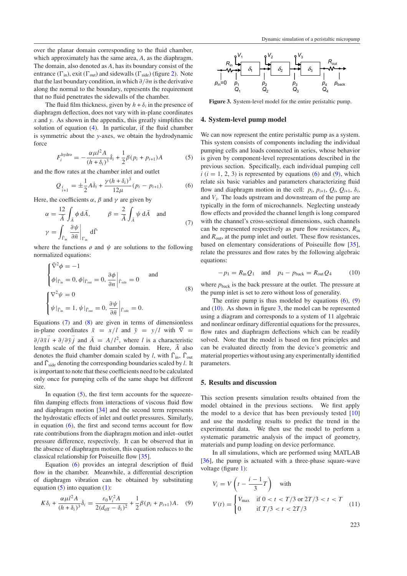<span id="page-3-0"></span>over the planar domain corresponding to the fluid chamber, which approximately has the same area, *A*, as the diaphragm. The domain, also denoted as *A*, has its boundary consist of the entrance  $(\Gamma_{in})$ , exit  $(\Gamma_{out})$  and sidewalls  $(\Gamma_{side})$  (figure [2\)](#page-1-0). Note that the last boundary condition, in which *∂/∂n* is the derivative along the normal to the boundary, represents the requirement that no fluid penetrates the sidewalls of the chamber.

The fluid film thickness, given by  $h + \delta_i$  in the presence of diaphragm deflection, does not vary with in-plane coordinates *x* and *y*. As shown in the appendix, this greatly simplifies the solution of equation [\(4\)](#page-2-0). In particular, if the fluid chamber is symmetric about the *y*-axes, we obtain the hydrodynamic force

$$
F_i^{\text{hydro}} = -\frac{\alpha \mu l^2 A}{(h + \delta_i)^3} \dot{\delta}_i + \frac{1}{2} \beta (p_i + p_{i+1}) A \tag{5}
$$

and the flow rates at the chamber inlet and outlet

$$
Q_{\substack{i}{i+1}} = \pm \frac{1}{2} A \dot{\delta}_i + \frac{\gamma (h + \delta_i)^3}{12\mu} (p_i - p_{i+1}).
$$
 (6)

Here, the coefficients  $\alpha$ ,  $\beta$  and  $\gamma$  are given by

$$
\alpha = \frac{12}{\bar{A}} \int_{\bar{A}} \phi \, d\bar{A}, \qquad \beta = \frac{2}{\bar{A}} \int_{\bar{A}} \psi \, d\bar{A} \quad \text{and}
$$

$$
\gamma = \int_{\bar{\Gamma}_{in}} \left. \frac{\partial \psi}{\partial \bar{n}} \right|_{\Gamma_{in}} d\bar{\Gamma}
$$
(7)

where the functions  $\phi$  and  $\psi$  are solutions to the following normalized equations:

$$
\begin{cases} \nabla^2 \phi = -1 \\ \phi|_{\tilde{\Gamma}_{\text{in}}} = 0, \phi|_{\tilde{\Gamma}_{\text{out}}} = 0, \frac{\partial \phi}{\partial n} \Big|_{\tilde{\Gamma}_{\text{side}}} = 0 \qquad \text{and} \\ \nabla^2 \psi = 0 \\ \psi|_{\tilde{\Gamma}_{\text{in}}} = 1, \psi|_{\tilde{\Gamma}_{\text{out}}} = 0, \frac{\partial \psi}{\partial \bar{n}} \Big|_{\tilde{\Gamma}_{\text{side}}} = 0. \end{cases}
$$
\n(8)

Equations (7) and (8) are given in terms of dimensionless in-plane coordinates  $\bar{x} = x/l$  and  $\bar{y} = y/l$  with  $\bar{\nabla} =$  $\partial/\partial \overrightarrow{x} \cdot \overrightarrow{i} + \partial/\partial \overrightarrow{y} \cdot \overrightarrow{j}$  and  $\overrightarrow{A} = A/l^2$ , where *l* is a characteristic length scale of the fluid chamber domain. Here,  $\overline{A}$  also denotes the fluid chamber domain scaled by *l*, with  $\bar{\Gamma}_{in}$ ,  $\bar{\Gamma}_{out}$ and  $\bar{\Gamma}_{side}$  denoting the corresponding boundaries scaled by *l*. It is important to note that these coefficients need to be calculated only once for pumping cells of the same shape but different size.

In equation  $(5)$ , the first term accounts for the squeezefilm damping effects from interactions of viscous fluid flow and diaphragm motion [\[34\]](#page-8-0) and the second term represents the hydrostatic effects of inlet and outlet pressures. Similarly, in equation  $(6)$ , the first and second terms account for flow rate contributions from the diaphragm motion and inlet–outlet pressure difference, respectively. It can be observed that in the absence of diaphragm motion, this equation reduces to the classical relationship for Poiseuille flow [\[35](#page-8-0)].

Equation (6) provides an integral description of fluid flow in the chamber. Meanwhile, a differential description of diaphragm vibration can be obtained by substituting equation  $(5)$  into equation  $(1)$ :

$$
K\delta_i + \frac{\alpha \mu l^2 A}{(h+\delta_i)^3} \dot{\delta}_i = \frac{\varepsilon_0 V_i^2 A}{2(d_{\text{eff}} - \delta_i)^2} + \frac{1}{2} \beta (p_i + p_{i+1}) A. \quad (9)
$$



**Figure 3.** System-level model for the entire peristaltic pump.

# **4. System-level pump model**

We can now represent the entire peristaltic pump as a system. This system consists of components including the individual pumping cells and loads connected in series, whose behavior is given by component-level representations described in the previous section. Specifically, each individual pumping cell  $i(i = 1, 2, 3)$  is represented by equations (6) and (9), which relate six basic variables and parameters characterizing fluid flow and diaphragm motion in the cell:  $p_i$ ,  $p_{i+1}$ ,  $Q_i$ ,  $Q_{i+1}$ ,  $\delta_i$ , and *Vi*. The loads upstream and downstream of the pump are typically in the form of microchannels. Neglecting unsteady flow effects and provided the channel length is long compared with the channel's cross-sectional dimensions, such channels can be represented respectively as pure flow resistances, *R*in and  $R_{\text{out}}$ , at the pump inlet and outlet. These flow resistances, based on elementary considerations of Poiseuille flow [\[35\]](#page-8-0), relate the pressures and flow rates by the following algebraic equations:

$$
-p_1 = R_{\text{in}}Q_1 \quad \text{and} \quad p_4 - p_{\text{back}} = R_{\text{out}}Q_4 \tag{10}
$$

where  $p_{\text{back}}$  is the back pressure at the outlet. The pressure at the pump inlet is set to zero without loss of generality.

The entire pump is thus modeled by equations  $(6)$ ,  $(9)$ and  $(10)$ . As shown in figure 3, the model can be represented using a diagram and corresponds to a system of 11 algebraic and nonlinear ordinary differential equations for the pressures, flow rates and diaphragm deflections which can be readily solved. Note that the model is based on first principles and can be evaluated directly from the device's geometric and material properties without using any experimentally identified parameters.

### **5. Results and discussion**

This section presents simulation results obtained from the model obtained in the previous sections. We first apply the model to a device that has been previously tested [\[10](#page-7-0)] and use the modeling results to predict the trend in the experimental data. We then use the model to perform a systematic parametric analysis of the impact of geometry, materials and pump loading on device performance.

In all simulations, which are performed using MATLAB [\[36](#page-8-0)], the pump is actuated with a three-phase square-wave voltage (figure [1\)](#page-1-0):

$$
V_i = V \left( t - \frac{i - 1}{3} T \right) \quad \text{with}
$$
\n
$$
V(t) = \begin{cases} V_{\text{max}} & \text{if } 0 < t < T/3 \text{ or } 2T/3 < t < T \\ 0 & \text{if } T/3 < t < 2T/3 \end{cases} \tag{11}
$$

223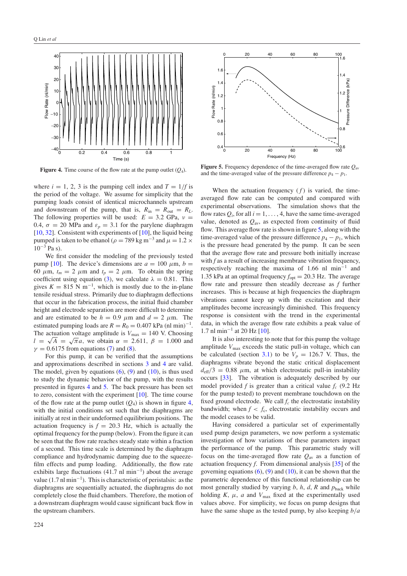

**Figure 4.** Time course of the flow rate at the pump outlet (*Q*4).

where  $i = 1, 2, 3$  is the pumping cell index and  $T = 1/f$  is the period of the voltage. We assume for simplicity that the pumping loads consist of identical microchannels upstream and downstream of the pump, that is,  $R_{in} = R_{out} = R_L$ . The following properties will be used:  $E = 3.2$  GPa,  $v =$ 0.4,  $\sigma = 20$  MPa and  $\varepsilon_p = 3.1$  for the parylene diaphragm [\[10,](#page-7-0) [32\]](#page-8-0). Consistent with experiments of [\[10\]](#page-7-0), the liquid being pumped is taken to be ethanol ( $\rho = 789 \text{ kg m}^{-3}$  and  $\mu = 1.2 \times$  $10^{-3}$  Pa s).

We first consider the modeling of the previously tested pump [\[10\]](#page-7-0). The device's dimensions are  $a = 100 \mu \text{m}$ ,  $b =$ 60  $\mu$ m,  $t_m = 2 \mu$ m and  $t_p = 2 \mu$ m. To obtain the spring coefficient using equation [\(3\)](#page-2-0), we calculate  $\lambda = 0.81$ . This gives  $K = 815$  N m<sup>-1</sup>, which is mostly due to the in-plane tensile residual stress. Primarily due to diaphragm deflections that occur in the fabrication process, the initial fluid chamber height and electrode separation are more difficult to determine and are estimated to be  $h = 0.9 \mu m$  and  $d = 2 \mu m$ . The estimated pumping loads are  $R = R_0 = 0.407$  kPa (nl min)<sup>-1</sup>. The actuation voltage amplitude is  $V_{\text{max}} = 140$  V. Choosing  $l = \sqrt{A} = \sqrt{\pi}a$ , we obtain  $\alpha = 2.611$ ,  $\beta = 1.000$  and  $\gamma = 0.6175$  from equations [\(7\)](#page-3-0) and [\(8\)](#page-3-0).

For this pump, it can be verified that the assumptions and approximations described in sections [3](#page-1-0) and [4](#page-3-0) are valid. The model, given by equations  $(6)$ ,  $(9)$  and  $(10)$ , is thus used to study the dynamic behavior of the pump, with the results presented in figures 4 and 5. The back pressure has been set to zero, consistent with the experiment [\[10\]](#page-7-0). The time course of the flow rate at the pump outlet  $(Q_4)$  is shown in figure 4, with the initial conditions set such that the diaphragms are initially at rest in their undeformed equilibrium positions. The actuation frequency is  $f = 20.3$  Hz, which is actually the optimal frequency for the pump (below). From the figure it can be seen that the flow rate reaches steady state within a fraction of a second. This time scale is determined by the diaphragm compliance and hydrodynamic damping due to the squeezefilm effects and pump loading. Additionally, the flow rate exhibits large fluctuations (41.7 nl min<sup>-1</sup>) about the average value  $(1.7 \text{ n} \text{ l} \text{ min}^{-1})$ . This is characteristic of peristalsis: as the diaphragms are sequentially actuated, the diaphragms do not completely close the fluid chambers. Therefore, the motion of a downstream diaphragm would cause significant back flow in the upstream chambers.



**Figure 5.** Frequency dependence of the time-averaged flow rate  $Q_{\text{av}}$ and the time-averaged value of the pressure difference  $p_4 - p_1$ .

When the actuation frequency  $(f)$  is varied, the timeaveraged flow rate can be computed and compared with experimental observations. The simulation shows that the flow rates  $Q_i$ , for all  $i = 1, \ldots, 4$ , have the same time-averaged value, denoted as  $Q_{\text{av}}$ , as expected from continuity of fluid flow. This average flow rate is shown in figure 5, along with the time-averaged value of the pressure difference  $p_4 - p_1$ , which is the pressure head generated by the pump. It can be seen that the average flow rate and pressure both initially increase with *f* as a result of increasing membrane vibration frequency, respectively reaching the maxima of 1.66 nl min−<sup>1</sup> and 1.35 kPa at an optimal frequency  $f_{opt} = 20.3$  Hz. The average flow rate and pressure then steadily decrease as *f* further increases. This is because at high frequencies the diaphragm vibrations cannot keep up with the excitation and their amplitudes become increasingly diminished. This frequency response is consistent with the trend in the experimental data, in which the average flow rate exhibits a peak value of 1.7 nl min−<sup>1</sup> at 20 Hz [\[10](#page-7-0)].

It is also interesting to note that for this pump the voltage amplitude  $V_{\text{max}}$  exceeds the static pull-in voltage, which can be calculated (section [3.1\)](#page-2-0) to be  $V_p = 126.7$  V. Thus, the diaphragms vibrate beyond the static critical displacement  $d_{\text{eff}}/3 = 0.88$   $\mu$ m, at which electrostatic pull-in instability occurs [\[33\]](#page-8-0). The vibration is adequately described by our model provided  $f$  is greater than a critical value  $f_c$  (9.2 Hz for the pump tested) to prevent membrane touchdown on the fixed ground electrode. We call  $f_c$  the electrostatic instability bandwidth; when  $f < f_c$ , electrostatic instability occurs and the model ceases to be valid.

Having considered a particular set of experimentally used pump design parameters, we now perform a systematic investigation of how variations of these parameters impact the performance of the pump. This parametric study will focus on the time-averaged flow rate  $Q_{\text{av}}$  as a function of actuation frequency *f*. From dimensional analysis [\[35](#page-8-0)] of the governing equations  $(6)$ ,  $(9)$  and  $(10)$ , it can be shown that the parametric dependence of this functional relationship can be most generally studied by varying  $b$ ,  $h$ ,  $d$ ,  $R$  and  $p_{\text{back}}$  while holding  $K$ ,  $\mu$ ,  $a$  and  $V_{\text{max}}$  fixed at the experimentally used values above. For simplicity, we focus on pump designs that have the same shape as the tested pump, by also keeping *b/a*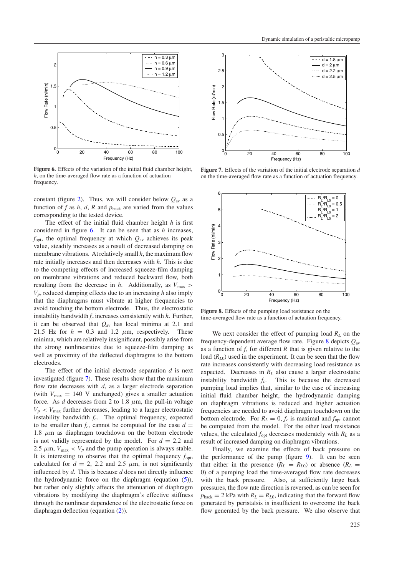

**Figure 6.** Effects of the variation of the initial fluid chamber height, *h*, on the time-averaged flow rate as a function of actuation frequency.

constant (figure [2\)](#page-1-0). Thus, we will consider below  $Q_{av}$  as a function of  $f$  as  $h$ ,  $d$ ,  $R$  and  $p_{\text{back}}$  are varied from the values corresponding to the tested device.

The effect of the initial fluid chamber height *h* is first considered in figure 6. It can be seen that as *h* increases,  $f_{\text{opt}}$ , the optimal frequency at which  $Q_{\text{av}}$  achieves its peak value, steadily increases as a result of decreased damping on membrane vibrations. At relatively small *h*, the maximum flow rate initially increases and then decreases with *h*. This is due to the competing effects of increased squeeze-film damping on membrane vibrations and reduced backward flow, both resulting from the decrease in *h*. Additionally, as *V*max *> Vp*, reduced damping effects due to an increasing *h* also imply that the diaphragms must vibrate at higher frequencies to avoid touching the bottom electrode. Thus, the electrostatic instability bandwidth  $f_c$  increases consistently with  $h$ . Further, it can be observed that  $Q_{\text{av}}$  has local minima at 2.1 and 21.5 Hz for  $h = 0.3$  and 1.2  $\mu$ m, respectively. These minima, which are relatively insignificant, possibly arise from the strong nonlinearities due to squeeze-film damping as well as proximity of the deflected diaphragms to the bottom electrodes.

The effect of the initial electrode separation *d* is next investigated (figure 7). These results show that the maximum flow rate decreases with *d*, as a larger electrode separation (with  $V_{\text{max}} = 140$  V unchanged) gives a smaller actuation force. As  $d$  decreases from 2 to 1.8  $\mu$ m, the pull-in voltage  $V_p$  <  $V_{\text{max}}$  further decreases, leading to a larger electrostatic instability bandwidth *fc*. The optimal frequency, expected to be smaller than  $f_c$ , cannot be computed for the case  $d =$ 1.8  $\mu$ m as diaphragm touchdown on the bottom electrode is not validly represented by the model. For  $d = 2.2$  and 2.5  $\mu$ m,  $V_{\text{max}} < V_p$  and the pump operation is always stable. It is interesting to observe that the optimal frequency *f*opt, calculated for  $d = 2$ , 2.2 and 2.5  $\mu$ m, is not significantly influenced by *d*. This is because *d* does not directly influence the hydrodynamic force on the diaphragm (equation  $(5)$ ), but rather only slightly affects the attenuation of diaphragm vibrations by modifying the diaphragm's effective stiffness through the nonlinear dependence of the electrostatic force on diaphragm deflection (equation [\(2\)](#page-2-0)).



**Figure 7.** Effects of the variation of the initial electrode separation *d* on the time-averaged flow rate as a function of actuation frequency.



**Figure 8.** Effects of the pumping load resistance on the time-averaged flow rate as a function of actuation frequency.

We next consider the effect of pumping load  $R_L$  on the frequency-dependent average flow rate. Figure 8 depicts *Q*av as a function of *f*, for different *R* that is given relative to the load  $(R_{L0})$  used in the experiment. It can be seen that the flow rate increases consistently with decreasing load resistance as expected. Decreases in *RL* also cause a larger electrostatic instability bandwidth  $f_c$ . This is because the decreased pumping load implies that, similar to the case of increasing initial fluid chamber height, the hydrodynamic damping on diaphragm vibrations is reduced and higher actuation frequencies are needed to avoid diaphragm touchdown on the bottom electrode. For  $R_L = 0$ ,  $f_c$  is maximal and  $f_{opt}$  cannot be computed from the model. For the other load resistance values, the calculated  $f_{opt}$  decreases moderately with  $R_L$  as a result of increased damping on diaphragm vibrations.

Finally, we examine the effects of back pressure on the performance of the pump (figure [9\)](#page-6-0). It can be seen that either in the presence  $(R_L = R_{L0})$  or absence  $(R_L = R_{L0})$ 0) of a pumping load the time-averaged flow rate decreases with the back pressure. Also, at sufficiently large back pressures, the flow rate direction is reversed, as can be seen for  $p_{\text{back}} = 2$  kPa with  $R_L = R_{L0}$ , indicating that the forward flow generated by peristalsis is insufficient to overcome the back flow generated by the back pressure. We also observe that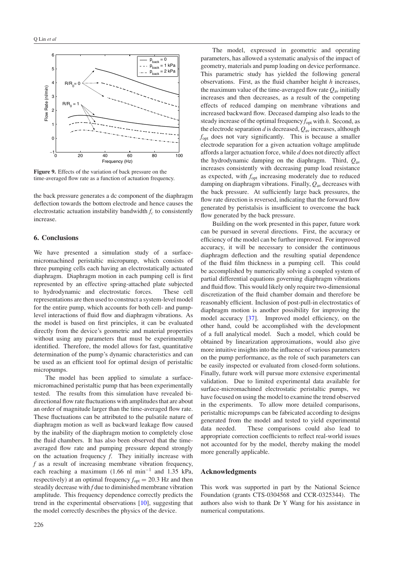<span id="page-6-0"></span>

**Figure 9.** Effects of the variation of back pressure on the time-averaged flow rate as a function of actuation frequency.

the back pressure generates a dc component of the diaphragm deflection towards the bottom electrode and hence causes the electrostatic actuation instability bandwidth  $f_c$  to consistently increase.

### **6. Conclusions**

We have presented a simulation study of a surfacemicromachined peristaltic micropump, which consists of three pumping cells each having an electrostatically actuated diaphragm. Diaphragm motion in each pumping cell is first represented by an effective spring-attached plate subjected to hydrodynamic and electrostatic forces. These cell representations are then used to construct a system-level model for the entire pump, which accounts for both cell- and pumplevel interactions of fluid flow and diaphragm vibrations. As the model is based on first principles, it can be evaluated directly from the device's geometric and material properties without using any parameters that must be experimentally identified. Therefore, the model allows for fast, quantitative determination of the pump's dynamic characteristics and can be used as an efficient tool for optimal design of peristaltic micropumps.

The model has been applied to simulate a surfacemicromachined peristaltic pump that has been experimentally tested. The results from this simulation have revealed bidirectional flow rate fluctuations with amplitudes that are about an order of magnitude larger than the time-averaged flow rate. These fluctuations can be attributed to the pulsatile nature of diaphragm motion as well as backward leakage flow caused by the inability of the diaphragm motion to completely close the fluid chambers. It has also been observed that the timeaveraged flow rate and pumping pressure depend strongly on the actuation frequency *f*. They initially increase with *f* as a result of increasing membrane vibration frequency, each reaching a maximum (1.66 nl min−<sup>1</sup> and 1.35 kPa, respectively) at an optimal frequency  $f_{opt} = 20.3$  Hz and then steadily decrease with *f* due to diminished membrane vibration amplitude. This frequency dependence correctly predicts the trend in the experimental observations [\[10\]](#page-7-0), suggesting that the model correctly describes the physics of the device.

The model, expressed in geometric and operating parameters, has allowed a systematic analysis of the impact of geometry, materials and pump loading on device performance. This parametric study has yielded the following general observations. First, as the fluid chamber height *h* increases, the maximum value of the time-averaged flow rate  $Q_{av}$  initially increases and then decreases, as a result of the competing effects of reduced damping on membrane vibrations and increased backward flow. Deceased damping also leads to the steady increase of the optimal frequency *f*opt with *h*. Second, as the electrode separation *d* is decreased, *Q*av increases, although *f*opt does not vary significantly. This is because a smaller electrode separation for a given actuation voltage amplitude affords a larger actuation force, while *d* does not directly affect the hydrodynamic damping on the diaphragm. Third, *Q*av increases consistently with decreasing pump load resistance as expected, with  $f_{\text{opt}}$  increasing moderately due to reduced damping on diaphragm vibrations. Finally, *Q*av decreases with the back pressure. At sufficiently large back pressures, the flow rate direction is reversed, indicating that the forward flow generated by peristalsis is insufficient to overcome the back flow generated by the back pressure.

Building on the work presented in this paper, future work can be pursued in several directions. First, the accuracy or efficiency of the model can be further improved. For improved accuracy, it will be necessary to consider the continuous diaphragm deflection and the resulting spatial dependence of the fluid film thickness in a pumping cell. This could be accomplished by numerically solving a coupled system of partial differential equations governing diaphragm vibrations and fluid flow. This would likely only require two-dimensional discretization of the fluid chamber domain and therefore be reasonably efficient. Inclusion of post-pull-in electrostatics of diaphragm motion is another possibility for improving the model accuracy [\[37](#page-8-0)]. Improved model efficiency, on the other hand, could be accomplished with the development of a full analytical model. Such a model, which could be obtained by linearization approximations, would also give more intuitive insights into the influence of various parameters on the pump performance, as the role of such parameters can be easily inspected or evaluated from closed-form solutions. Finally, future work will pursue more extensive experimental validation. Due to limited experimental data available for surface-micromachined electrostatic peristaltic pumps, we have focused on using the model to examine the trend observed in the experiments. To allow more detailed comparisons, peristaltic micropumps can be fabricated according to designs generated from the model and tested to yield experimental data needed. These comparisons could also lead to appropriate correction coefficients to reflect real-world issues not accounted for by the model, thereby making the model more generally applicable.

#### **Acknowledgments**

This work was supported in part by the National Science Foundation (grants CTS-0304568 and CCR-0325344). The authors also wish to thank Dr Y Wang for his assistance in numerical computations.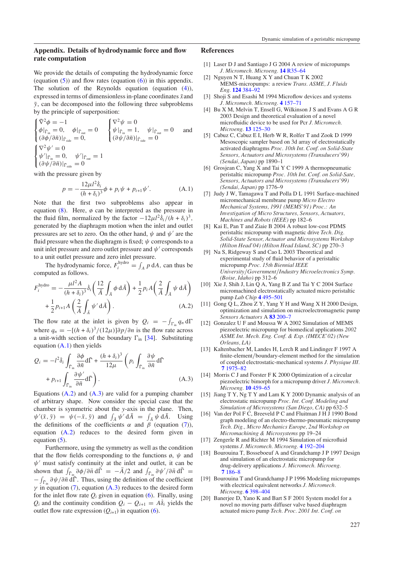# <span id="page-7-0"></span>**Appendix. Details of hydrodynamic force and flow rate computation**

We provide the details of computing the hydrodynamic force (equation  $(5)$ ) and flow rates (equation  $(6)$ ) in this appendix. The solution of the Reynolds equation (equation [\(4\)](#page-2-0)), expressed in terms of dimensionless in-plane coordinates  $\bar{x}$  and  $\bar{y}$ , can be decomposed into the following three subproblems by the principle of superposition:

$$
\begin{cases} \nabla^2 \phi = -1 \\ \phi|_{\tilde{\Gamma}_{in}} = 0, \quad \phi|_{\tilde{\Gamma}_{out}} = 0 \\ (\partial \phi/\partial \bar{n})|_{\Gamma_{side}} = 0, \quad \begin{cases} \nabla^2 \psi = 0 \\ \psi|_{\tilde{\Gamma}_{in}} = 1, \quad \psi|_{\tilde{\Gamma}_{out}} = 0 \\ (\partial \psi/\partial \bar{n})|_{\Gamma_{side}} = 0 \end{cases} \text{ and}
$$
  
\n
$$
\begin{cases} \nabla^2 \psi' = 0 \\ \psi'|_{\tilde{\Gamma}_{in}} = 0, \quad \psi'|_{\tilde{\Gamma}_{out}} = 1 \\ (\partial \psi/\partial \bar{n})|_{\tilde{\Gamma}_{side}} = 0 \end{cases}
$$

with the pressure given by

$$
p = -\frac{12\mu l^2 \dot{\delta}_i}{(h + \delta_i)^3} \phi + p_i \psi + p_{i+1} \psi'. \tag{A.1}
$$

Note that the first two subproblems also appear in equation  $(8)$ . Here,  $\phi$  can be interpreted as the pressure in the fluid film, normalized by the factor  $-12\mu l^2\dot{\delta}_i/(h+\delta_i)^3$ , generated by the diaphragm motion when the inlet and outlet pressures are set to zero. On the other hand,  $\psi$  and  $\psi'$  are the fluid pressure when the diaphragm is fixed; *ψ* corresponds to a unit inlet pressure and zero outlet pressure and  $\psi'$  corresponds to a unit outlet pressure and zero inlet pressure.

The hydrodynamic force,  $F_i^{\text{hydro}} = \int_A p \, dA$ , can thus be computed as follows.

$$
F_i^{\text{hydro}} = -\frac{\mu l^2 A}{(h + \delta_i)^3} \dot{\delta}_i \left( \frac{12}{\bar{A}} \int_{\bar{A}} \phi \, d\bar{A} \right) + \frac{1}{2} p_i A \left( \frac{2}{\bar{A}} \int_{\bar{A}} \psi \, d\bar{A} \right) + \frac{1}{2} p_{i+1} A \left( \frac{2}{\bar{A}} \int_{\bar{A}} \psi' \, d\bar{A} \right). \tag{A.2}
$$

The flow rate at the inlet is given by  $Q_i = -\int_{\Gamma_{\text{in}}} q_n d\Gamma$ where  $q_n = -[(h + \delta_i)^3/(12\mu)]\partial p/\partial n$  is the flow rate across a unit-width section of the boundary  $\Gamma_{\text{in}}$  [\[34\]](#page-8-0). Substituting equation (A*.*1) then yields

$$
Q_{i} = -l^{2} \delta_{i} \int_{\bar{\Gamma}_{\text{in}}} \frac{\partial \phi}{\partial \bar{n}} d\bar{\Gamma} + \frac{(h + \delta_{i})^{3}}{12\mu} \left( p_{i} \int_{\bar{\Gamma}_{\text{in}}} \frac{\partial \psi}{\partial \bar{n}} d\bar{\Gamma} + p_{i+1} \int_{\bar{\Gamma}_{\text{in}}} \frac{\partial \psi'}{\partial \bar{n}} d\bar{\Gamma} \right).
$$
\n(A.3)

Equations (A*.*2) and (A*.*3) are valid for a pumping chamber of arbitrary shape. Now consider the special case that the chamber is symmetric about the *y*-axis in the plane. Then,  $\psi'(\bar{x}, \bar{y}) = \psi(-\bar{x}, \bar{y})$  and  $\int_{\bar{A}} \psi' d\bar{A} = \int_{\bar{A}} \psi d\bar{A}$ . Using the definitions of the coefficients  $\alpha$  and  $\beta$  (equation [\(7\)](#page-3-0)), equation (A*.*2) reduces to the desired form given in equation [\(5\)](#page-3-0).

Furthermore, using the symmetry as well as the condition that the flow fields corresponding to the functions  $\phi$ ,  $\psi$  and  $\psi'$  must satisfy continuity at the inlet and outlet, it can be shown that  $\int_{\tilde{\Gamma}_{in}} \partial \phi / \partial \bar{n} d\vec{\Gamma} = -\bar{A}/2$  and  $\int_{\tilde{\Gamma}_{in}} \partial \psi' / \partial \bar{n} d\vec{\Gamma} =$  $-\int_{\bar{\Gamma}_{in}} \partial \psi / \partial \bar{n} d\bar{\Gamma}$ . Thus, using the definition of the coefficient  $\gamma$  in equation [\(7\)](#page-3-0), equation (A.3) reduces to the desired form for the inlet flow rate  $Q_i$  given in equation  $(6)$ . Finally, using *Q<sub>i</sub>* and the continuity condition  $Q_i - Q_{i+1} = A\delta_i$  yields the outlet flow rate expression  $(Q_{i+1})$  in equation [\(6\)](#page-3-0).

# **References**

- [1] Laser D J and Santiago J G 2004 A review of micropumps *J. Micromech. Microeng.* **14** [R35–64](http://dx.doi.org/10.1088/0960-1317/14/6/R01)
- [2] Nguyen N T, Huang X Y and Chuan T K 2002 MEMS-micropumps: a review *Trans. ASME, J. Fluids Eng.* **124** [384–92](http://dx.doi.org/10.1115/1.1459075)
- [3] Shoji S and Esashi M 1994 Microflow devices and systems *J. Micromech. Microeng.* **4** [157–71](http://dx.doi.org/10.1088/0960-1317/4/4/001)
- [4] Bu X M, Melvin T, Ensell G, Wilkinson J S and Evans A G R 2003 Design and theoretical evaluation of a novel microfluidic device to be used for Pcr *J. Micromech. Microeng.* **13** [125–30](http://dx.doi.org/10.1088/0960-1317/13/4/321)
- [5] Cabuz C, Cabuz E I, Herb W R, Rolfer T and Zook D 1999 Mesoscopic sampler based on 3d array of electrostatically activated diaphragms *Proc. 10th Int. Conf. on Solid-State Sensors, Actuators and Microsystems (Transducers'99) (Sendai, Japan)* pp 1890–1
- [6] Grosjean C, Yang X and Tai Y C 1999 A thermopneumatic peristaltic micropump *Proc. 10th Int. Conf. on Solid-Sate, Sensors, Actuators and Microsystems (Transducers'99) (Sendai, Japan)* pp 1776–9
- [7] Judy J W, Tamagawa T and Polla D L 1991 Surface-machined micromechanical membrane pump *Micro Electro Mechanical Systems, 1991 (MEMS'91) Proc.: An Investigation of Micro Structures, Sensors, Actuators, Machines and Robots (IEEE)* pp 182–6
- [8] Kai E, Pan T and Ziaie B 2004 A robust low-cost PDMS peristaltic micropump with magnetic drive *Tech. Dig. Solid-State Sensor, Actuator and Microsystems Workshop (Hilton Head'04) (Hilton Head Island, SC)* pp 270–3
- [9] Na S, Ridgeway S and Cao L 2003 Theoretical and experimental study of fluid behavior of a peristaltic micropump *Proc. 15th Biennial IEEE University/Government/Industry Microelectronics Symp. (Boise, Idaho)* pp 312–6
- [10] Xie J, Shih J, Lin Q A, Yang B Z and Tai Y C 2004 Surface micromachined electrostatically actuated micro peristaltic pump *Lab Chip* **4** [495–501](http://dx.doi.org/10.1039/b403906h)
- [11] Gong Q L, Zhou Z Y, Yang Y H and Wang X H 2000 Design, optimization and simulation on microelectromagnetic pump *Sensors Actuators* A **83** [200–7](http://dx.doi.org/10.1016/S0924-4247(99)00384-2)
- [12] Gonzalez U F and Moussa W A 2002 Simulation of MEMS piezoelectric micropump for biomedical applications *2002 ASME Int. Mech. Eng. Conf. & Exp. (IMECE'02) (New Orleans, LA)*
- [13] Kaltenbacher M, Landes H, Lerch R and Lindinger F 1997 A finite-element*/*boundary-element method for the simulation of coupled electrostatic-mechanical systems *J. Physique III.* **7** [1975–82](http://dx.doi.org/10.1051/jp3:1997236)
- [14] Morris C J and Forster F K 2000 Optimization of a circular piezoelectric bimorph for a micropump driver *J. Micromech. Microeng.* **10** [459–65](http://dx.doi.org/10.1088/0960-1317/10/3/323)
- [15] Jiang T Y, Ng T Y and Lam K Y 2000 Dynamic analysis of an electrostatic micropump *Proc. Int. Conf. Modeling and Simulation of Microsystems (San Diego, CA)* pp 632–5
- [16] Van der Pol F C, Breeveld P C and Fluitman J H J 1990 Bond graph modeling of an electro-thermo-pneumatic micropump *Tech. Dig., Micro Mechanics Europe, 2nd Workshop on Micromachining & Microsystems* pp 19–24
- [17] Zengerle R and Richter M 1994 Simulation of microfluid systems *J. Micromech. Microeng.* **4** [192–204](http://dx.doi.org/10.1088/0960-1317/4/4/004)
- [18] Bourouina T, Bosseboeuf A and Grandchamp J P 1997 Design and simulation of an electrostatic micropump for drug-delivery applications *J. Micromech. Microeng.* **7** [186–8](http://dx.doi.org/10.1088/0960-1317/7/3/028)
- [19] Bourouina T and Grandchamp J P 1996 Modeling micropumps with electrical equivalent networks *J. Micromech. Microeng.* **6** [398–404](http://dx.doi.org/10.1088/0960-1317/6/4/006)
- [20] Banerjee D, Yano K and Bart S F 2001 System model for a novel no moving parts diffuser valve based diaphragm actuated micro pump *Tech. Proc. 2001 Int. Conf. on*